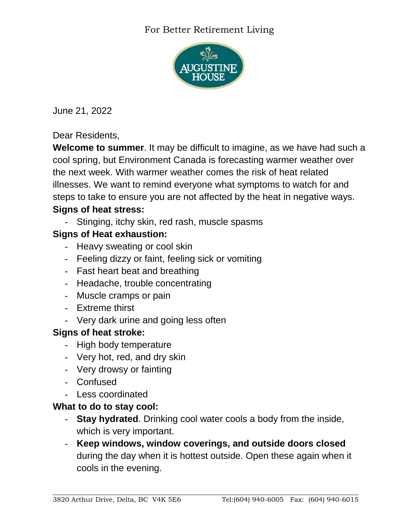### For Better Retirement Living



June 21, 2022

Dear Residents,

**Welcome to summer**. It may be difficult to imagine, as we have had such a cool spring, but Environment Canada is forecasting warmer weather over the next week. With warmer weather comes the risk of heat related illnesses. We want to remind everyone what symptoms to watch for and steps to take to ensure you are not affected by the heat in negative ways. **Signs of heat stress:**

- Stinging, itchy skin, red rash, muscle spasms

## **Signs of Heat exhaustion:**

- Heavy sweating or cool skin
- Feeling dizzy or faint, feeling sick or vomiting
- Fast heart beat and breathing
- Headache, trouble concentrating
- Muscle cramps or pain
- Extreme thirst
- Very dark urine and going less often

# **Signs of heat stroke:**

- High body temperature
- Very hot, red, and dry skin
- Very drowsy or fainting
- Confused
- Less coordinated

#### **What to do to stay cool:**

- **Stay hydrated**. Drinking cool water cools a body from the inside, which is very important.
- **Keep windows, window coverings, and outside doors closed** during the day when it is hottest outside. Open these again when it cools in the evening.